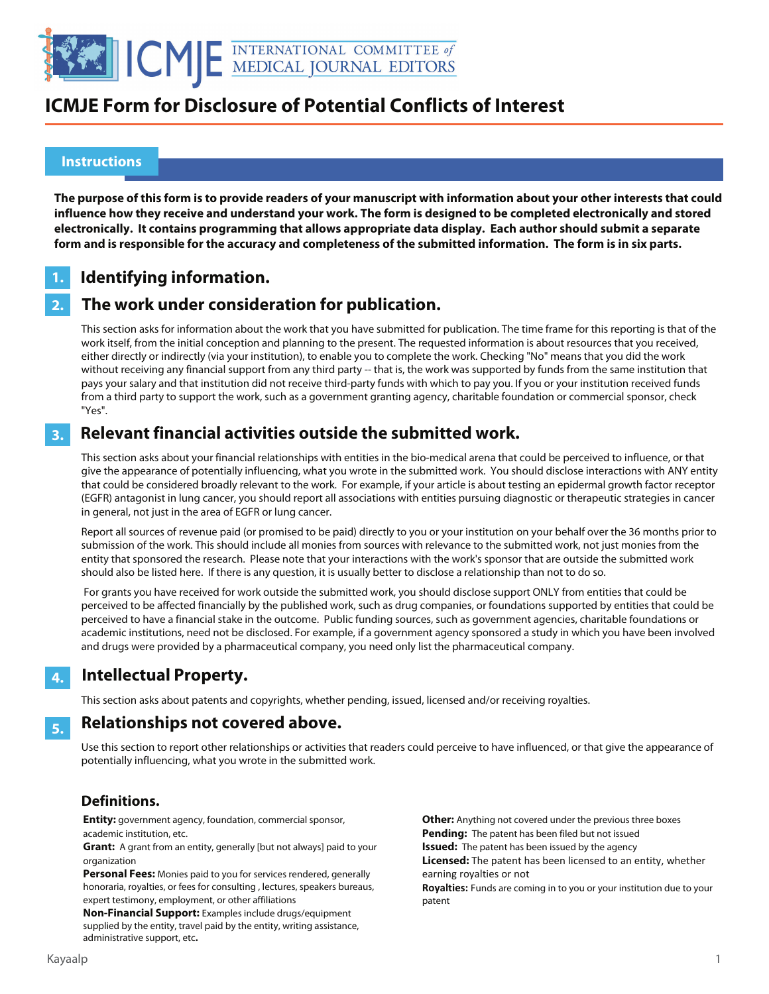

### **Instructions**

l

**The purpose of this form is to provide readers of your manuscript with information about your other interests that could influence how they receive and understand your work. The form is designed to be completed electronically and stored electronically. It contains programming that allows appropriate data display. Each author should submit a separate form and is responsible for the accuracy and completeness of the submitted information. The form is in six parts.** 

### **Identifying information. 1.**

### **The work under consideration for publication. 2.**

This section asks for information about the work that you have submitted for publication. The time frame for this reporting is that of the work itself, from the initial conception and planning to the present. The requested information is about resources that you received, either directly or indirectly (via your institution), to enable you to complete the work. Checking "No" means that you did the work without receiving any financial support from any third party -- that is, the work was supported by funds from the same institution that pays your salary and that institution did not receive third-party funds with which to pay you. If you or your institution received funds from a third party to support the work, such as a government granting agency, charitable foundation or commercial sponsor, check "Yes".

#### **Relevant financial activities outside the submitted work. 3.**

This section asks about your financial relationships with entities in the bio-medical arena that could be perceived to influence, or that give the appearance of potentially influencing, what you wrote in the submitted work. You should disclose interactions with ANY entity that could be considered broadly relevant to the work. For example, if your article is about testing an epidermal growth factor receptor (EGFR) antagonist in lung cancer, you should report all associations with entities pursuing diagnostic or therapeutic strategies in cancer in general, not just in the area of EGFR or lung cancer.

Report all sources of revenue paid (or promised to be paid) directly to you or your institution on your behalf over the 36 months prior to submission of the work. This should include all monies from sources with relevance to the submitted work, not just monies from the entity that sponsored the research. Please note that your interactions with the work's sponsor that are outside the submitted work should also be listed here. If there is any question, it is usually better to disclose a relationship than not to do so.

 For grants you have received for work outside the submitted work, you should disclose support ONLY from entities that could be perceived to be affected financially by the published work, such as drug companies, or foundations supported by entities that could be perceived to have a financial stake in the outcome. Public funding sources, such as government agencies, charitable foundations or academic institutions, need not be disclosed. For example, if a government agency sponsored a study in which you have been involved and drugs were provided by a pharmaceutical company, you need only list the pharmaceutical company.

### **Intellectual Property. 4.**

This section asks about patents and copyrights, whether pending, issued, licensed and/or receiving royalties.

### **Relationships not covered above. 5.**

Use this section to report other relationships or activities that readers could perceive to have influenced, or that give the appearance of potentially influencing, what you wrote in the submitted work.

### **Definitions.**

**Entity:** government agency, foundation, commercial sponsor, academic institution, etc.

**Grant:** A grant from an entity, generally [but not always] paid to your organization

**Personal Fees:** Monies paid to you for services rendered, generally honoraria, royalties, or fees for consulting , lectures, speakers bureaus, expert testimony, employment, or other affiliations

**Non-Financial Support:** Examples include drugs/equipment supplied by the entity, travel paid by the entity, writing assistance, administrative support, etc**.**

**Other:** Anything not covered under the previous three boxes **Pending:** The patent has been filed but not issued **Issued:** The patent has been issued by the agency **Licensed:** The patent has been licensed to an entity, whether earning royalties or not

**Royalties:** Funds are coming in to you or your institution due to your patent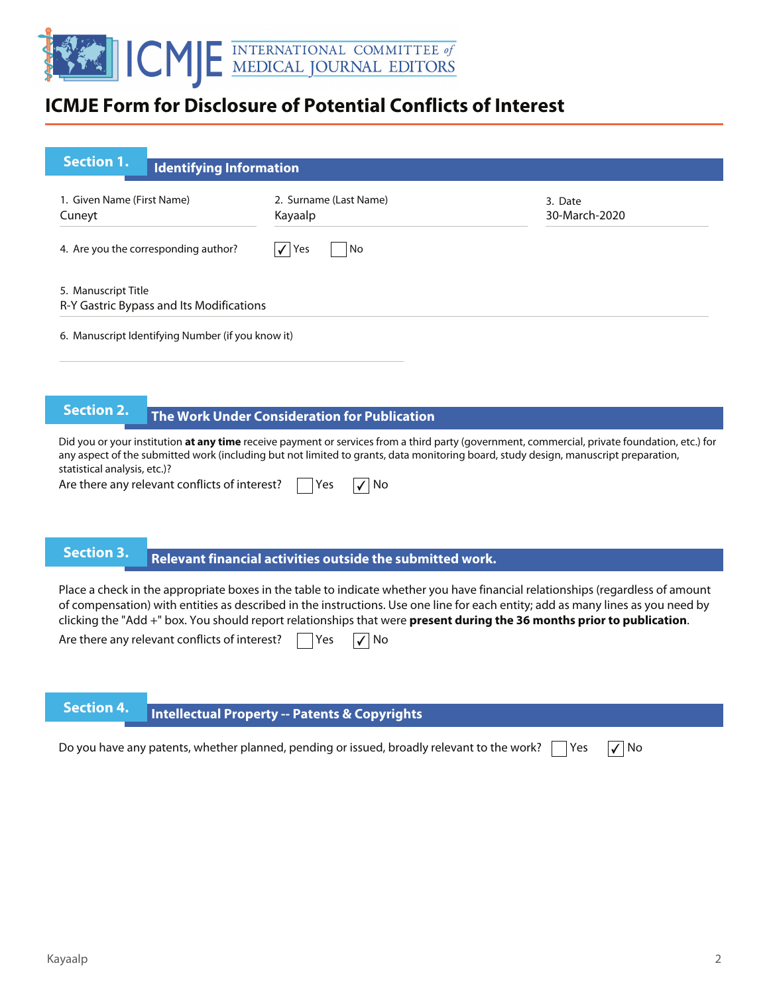

| <b>Section 1.</b>                    | <b>Identifying Information</b>                    |                                   |                          |
|--------------------------------------|---------------------------------------------------|-----------------------------------|--------------------------|
| 1. Given Name (First Name)<br>Cuneyt |                                                   | 2. Surname (Last Name)<br>Kayaalp | 3. Date<br>30-March-2020 |
| 4. Are you the corresponding author? |                                                   | $\sqrt{\vert$ Yes<br>No           |                          |
| 5. Manuscript Title                  | R-Y Gastric Bypass and Its Modifications          |                                   |                          |
|                                      | 6. Manuscript Identifying Number (if you know it) |                                   |                          |

# **The Work Under Consideration for Publication**

Did you or your institution **at any time** receive payment or services from a third party (government, commercial, private foundation, etc.) for any aspect of the submitted work (including but not limited to grants, data monitoring board, study design, manuscript preparation, statistical analysis, etc.)?

| Are there any relevant conflicts of interest? |  | l Yes |  | $\sqrt{}$ No |
|-----------------------------------------------|--|-------|--|--------------|
|-----------------------------------------------|--|-------|--|--------------|

# **Relevant financial activities outside the submitted work. Section 3. Relevant financial activities outset**

Place a check in the appropriate boxes in the table to indicate whether you have financial relationships (regardless of amount of compensation) with entities as described in the instructions. Use one line for each entity; add as many lines as you need by clicking the "Add +" box. You should report relationships that were **present during the 36 months prior to publication**.

| Are there any relevant conflicts of interest? | <b>Yes</b> | $\sqrt{}$ No |  |
|-----------------------------------------------|------------|--------------|--|
|                                               |            |              |  |

# **Intellectual Property -- Patents & Copyrights**

Do you have any patents, whether planned, pending or issued, broadly relevant to the work?  $\Box$  Yes  $\Box$  No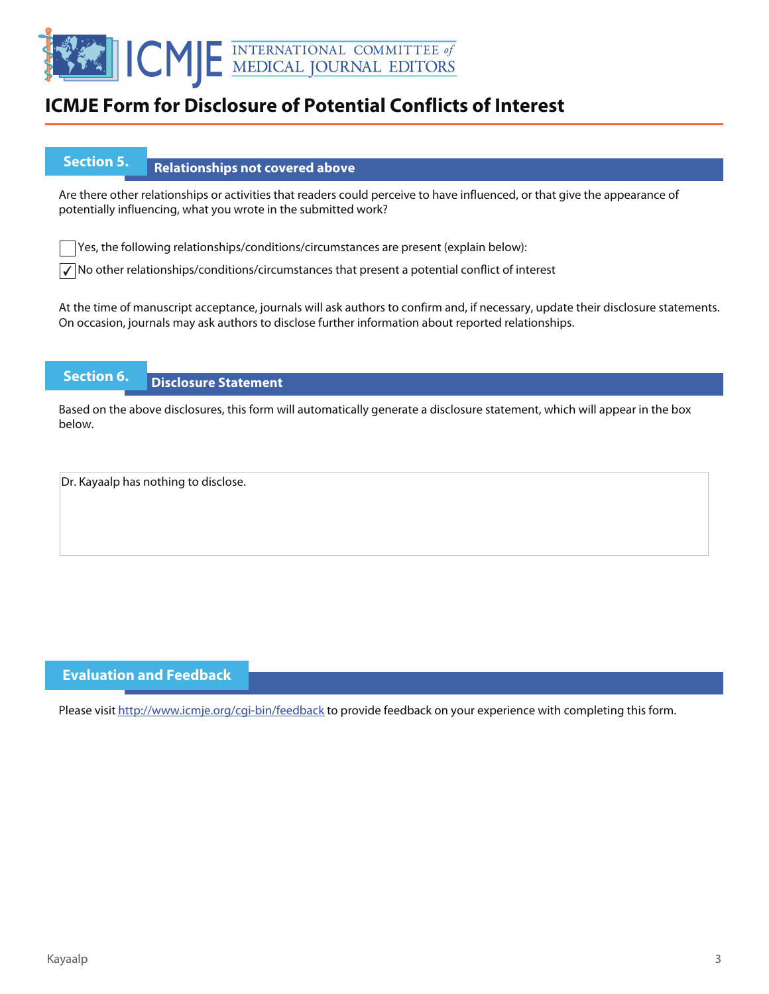

## **Section 5.** Relationships not covered above

Are there other relationships or activities that readers could perceive to have influenced, or that give the appearance of potentially influencing, what you wrote in the submitted work?

Yes, the following relationships/conditions/circumstances are present (explain below):

 $\sqrt{\ }$  No other relationships/conditions/circumstances that present a potential conflict of interest

At the time of manuscript acceptance, journals will ask authors to confirm and, if necessary, update their disclosure statements. On occasion, journals may ask authors to disclose further information about reported relationships.

### **Section 6. Disclosure Statement**

Based on the above disclosures, this form will automatically generate a disclosure statement, which will appear in the box below.

Dr. Kayaalp has nothing to disclose.

### **Evaluation and Feedback**

Please visit http://www.icmje.org/cgi-bin/feedback to provide feedback on your experience with completing this form.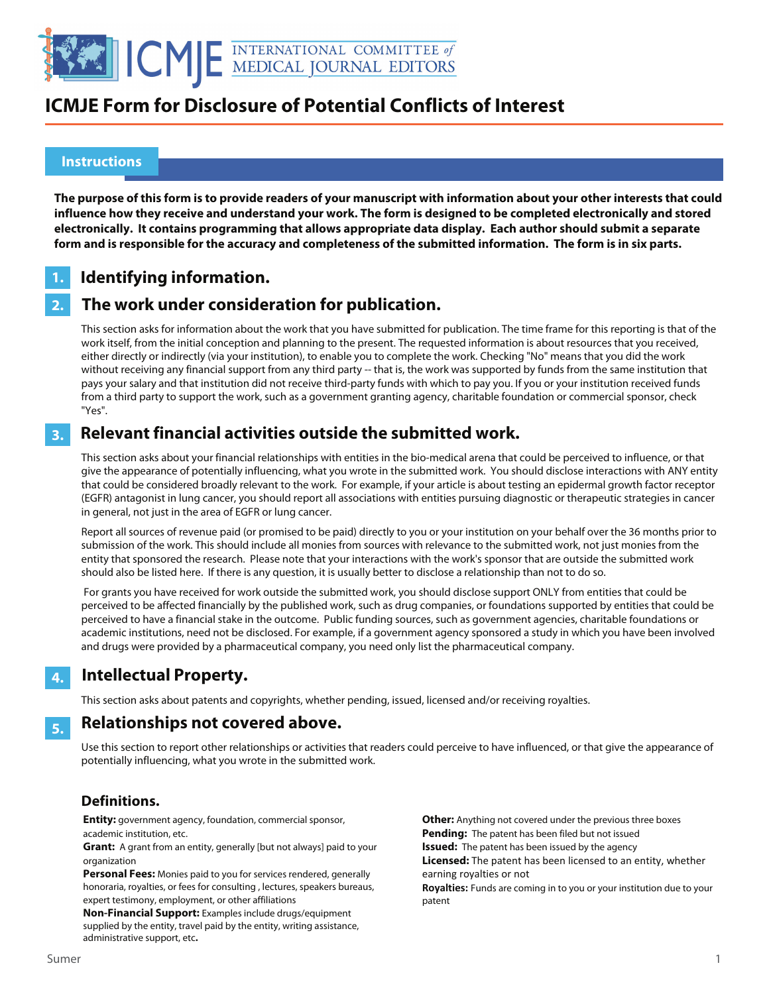

### **Instructions**

l

**The purpose of this form is to provide readers of your manuscript with information about your other interests that could influence how they receive and understand your work. The form is designed to be completed electronically and stored electronically. It contains programming that allows appropriate data display. Each author should submit a separate form and is responsible for the accuracy and completeness of the submitted information. The form is in six parts.** 

### **Identifying information. 1.**

### **The work under consideration for publication. 2.**

This section asks for information about the work that you have submitted for publication. The time frame for this reporting is that of the work itself, from the initial conception and planning to the present. The requested information is about resources that you received, either directly or indirectly (via your institution), to enable you to complete the work. Checking "No" means that you did the work without receiving any financial support from any third party -- that is, the work was supported by funds from the same institution that pays your salary and that institution did not receive third-party funds with which to pay you. If you or your institution received funds from a third party to support the work, such as a government granting agency, charitable foundation or commercial sponsor, check "Yes".

#### **Relevant financial activities outside the submitted work. 3.**

This section asks about your financial relationships with entities in the bio-medical arena that could be perceived to influence, or that give the appearance of potentially influencing, what you wrote in the submitted work. You should disclose interactions with ANY entity that could be considered broadly relevant to the work. For example, if your article is about testing an epidermal growth factor receptor (EGFR) antagonist in lung cancer, you should report all associations with entities pursuing diagnostic or therapeutic strategies in cancer in general, not just in the area of EGFR or lung cancer.

Report all sources of revenue paid (or promised to be paid) directly to you or your institution on your behalf over the 36 months prior to submission of the work. This should include all monies from sources with relevance to the submitted work, not just monies from the entity that sponsored the research. Please note that your interactions with the work's sponsor that are outside the submitted work should also be listed here. If there is any question, it is usually better to disclose a relationship than not to do so.

 For grants you have received for work outside the submitted work, you should disclose support ONLY from entities that could be perceived to be affected financially by the published work, such as drug companies, or foundations supported by entities that could be perceived to have a financial stake in the outcome. Public funding sources, such as government agencies, charitable foundations or academic institutions, need not be disclosed. For example, if a government agency sponsored a study in which you have been involved and drugs were provided by a pharmaceutical company, you need only list the pharmaceutical company.

### **Intellectual Property. 4.**

This section asks about patents and copyrights, whether pending, issued, licensed and/or receiving royalties.

### **Relationships not covered above. 5.**

Use this section to report other relationships or activities that readers could perceive to have influenced, or that give the appearance of potentially influencing, what you wrote in the submitted work.

### **Definitions.**

**Entity:** government agency, foundation, commercial sponsor, academic institution, etc.

**Grant:** A grant from an entity, generally [but not always] paid to your organization

**Personal Fees:** Monies paid to you for services rendered, generally honoraria, royalties, or fees for consulting , lectures, speakers bureaus, expert testimony, employment, or other affiliations

**Non-Financial Support:** Examples include drugs/equipment supplied by the entity, travel paid by the entity, writing assistance, administrative support, etc**.**

**Other:** Anything not covered under the previous three boxes **Pending:** The patent has been filed but not issued **Issued:** The patent has been issued by the agency **Licensed:** The patent has been licensed to an entity, whether earning royalties or not

**Royalties:** Funds are coming in to you or your institution due to your patent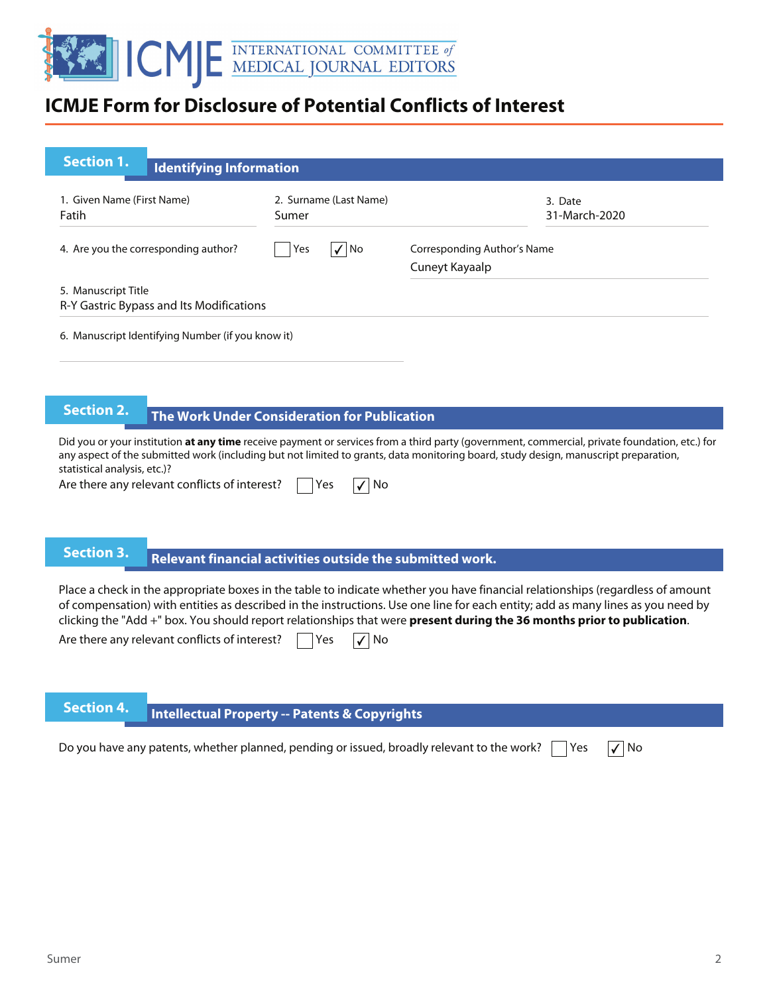

| <b>Section 1.</b>                                                           | <b>Identifying Information</b>                                                                |                                                            |  |                                                         |  |  |
|-----------------------------------------------------------------------------|-----------------------------------------------------------------------------------------------|------------------------------------------------------------|--|---------------------------------------------------------|--|--|
| 1. Given Name (First Name)<br>Fatih<br>4. Are you the corresponding author? |                                                                                               | 2. Surname (Last Name)<br>Sumer<br>$\sqrt{ N_{0} }$<br>Yes |  | 3. Date<br>31-March-2020<br>Corresponding Author's Name |  |  |
| 5. Manuscript Title                                                         | R-Y Gastric Bypass and Its Modifications<br>6. Manuscript Identifying Number (if you know it) |                                                            |  | Cuneyt Kayaalp                                          |  |  |

## **The Work Under Consideration for Publication**

Did you or your institution **at any time** receive payment or services from a third party (government, commercial, private foundation, etc.) for any aspect of the submitted work (including but not limited to grants, data monitoring board, study design, manuscript preparation, statistical analysis, etc.)?

| Are there any relevant conflicts of interest? |  | l Yes |  | $\sqrt{}$ No |
|-----------------------------------------------|--|-------|--|--------------|
|-----------------------------------------------|--|-------|--|--------------|

# **Rection 3.** Relevant financial activities outside the submitted work.

Place a check in the appropriate boxes in the table to indicate whether you have financial relationships (regardless of amount of compensation) with entities as described in the instructions. Use one line for each entity; add as many lines as you need by clicking the "Add +" box. You should report relationships that were **present during the 36 months prior to publication**.

| Are there any relevant conflicts of interest? | <b>Yes</b> | $\sqrt{}$ No |  |
|-----------------------------------------------|------------|--------------|--|
|                                               |            |              |  |

# **Intellectual Property -- Patents & Copyrights**

Do you have any patents, whether planned, pending or issued, broadly relevant to the work?  $\Box$  Yes  $\Box$  No